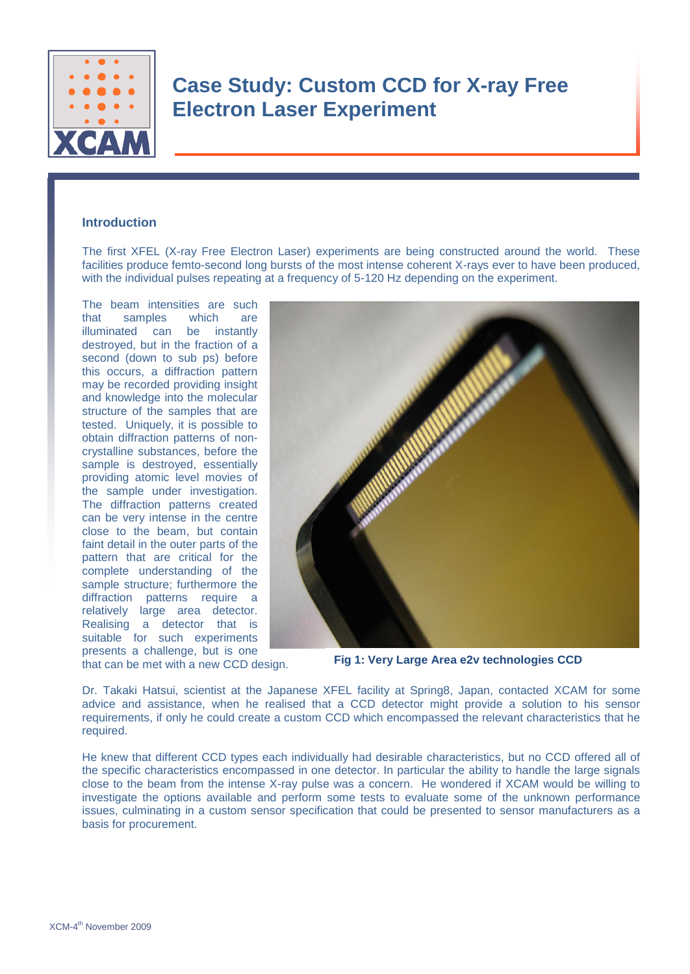

## **Case Study: Custom CCD for X-ray Free Electron Laser Experiment**

### **Introduction**

The first XFEL (X-ray Free Electron Laser) experiments are being constructed around the world. These facilities produce femto-second long bursts of the most intense coherent X-rays ever to have been produced, with the individual pulses repeating at a frequency of 5-120 Hz depending on the experiment.

The beam intensities are such that samples which are illuminated can be instantly destroyed, but in the fraction of a second (down to sub ps) before this occurs, a diffraction pattern may be recorded providing insight and knowledge into the molecular structure of the samples that are tested. Uniquely, it is possible to obtain diffraction patterns of noncrystalline substances, before the sample is destroyed, essentially providing atomic level movies of the sample under investigation. The diffraction patterns created can be very intense in the centre close to the beam, but contain faint detail in the outer parts of the pattern that are critical for the complete understanding of the sample structure; furthermore the diffraction patterns require a relatively large area detector. Realising a detector that is suitable for such experiments presents a challenge, but is one that can be met with a new CCD design.



**Fig 1: Very Large Area e2v technologies CCD** 

Dr. Takaki Hatsui, scientist at the Japanese XFEL facility at Spring8, Japan, contacted XCAM for some advice and assistance, when he realised that a CCD detector might provide a solution to his sensor requirements, if only he could create a custom CCD which encompassed the relevant characteristics that he required.

He knew that different CCD types each individually had desirable characteristics, but no CCD offered all of the specific characteristics encompassed in one detector. In particular the ability to handle the large signals close to the beam from the intense X-ray pulse was a concern. He wondered if XCAM would be willing to investigate the options available and perform some tests to evaluate some of the unknown performance issues, culminating in a custom sensor specification that could be presented to sensor manufacturers as a basis for procurement.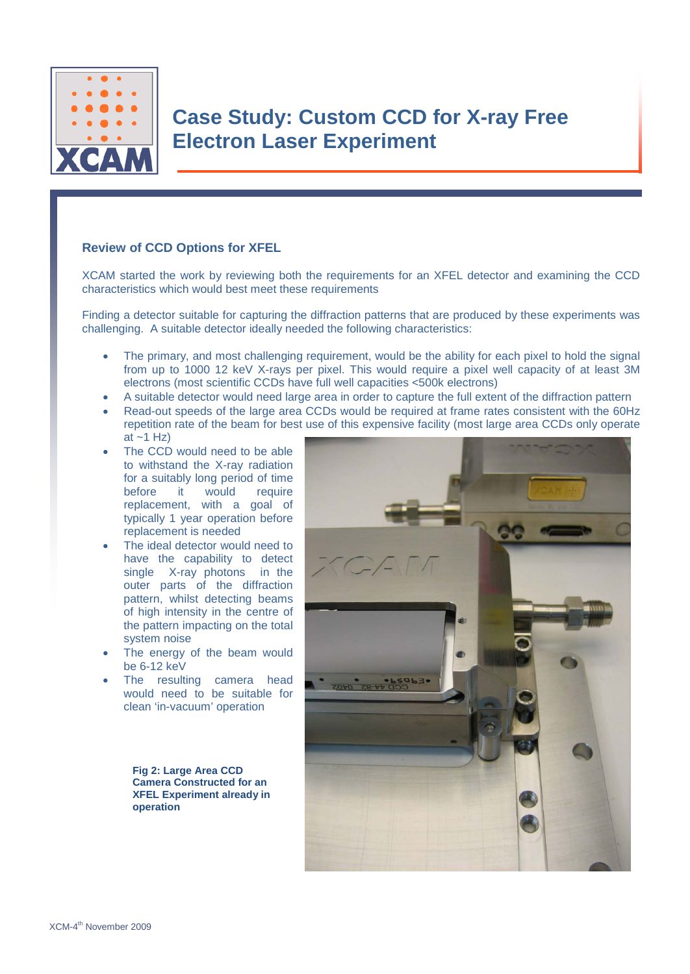

## **Review of CCD Options for XFEL**

XCAM started the work by reviewing both the requirements for an XFEL detector and examining the CCD characteristics which would best meet these requirements

Finding a detector suitable for capturing the diffraction patterns that are produced by these experiments was challenging. A suitable detector ideally needed the following characteristics:

- The primary, and most challenging requirement, would be the ability for each pixel to hold the signal from up to 1000 12 keV X-rays per pixel. This would require a pixel well capacity of at least 3M electrons (most scientific CCDs have full well capacities <500k electrons)
- A suitable detector would need large area in order to capture the full extent of the diffraction pattern
- Read-out speeds of the large area CCDs would be required at frame rates consistent with the 60Hz repetition rate of the beam for best use of this expensive facility (most large area CCDs only operate at  $~1$  Hz)
- The CCD would need to be able to withstand the X-ray radiation for a suitably long period of time before it would require replacement, with a goal of typically 1 year operation before replacement is needed
- The ideal detector would need to have the capability to detect single X-ray photons in the outer parts of the diffraction pattern, whilst detecting beams of high intensity in the centre of the pattern impacting on the total system noise
- The energy of the beam would be 6-12 keV
- The resulting camera head would need to be suitable for clean 'in-vacuum' operation

**Fig 2: Large Area CCD Camera Constructed for an XFEL Experiment already in operation**

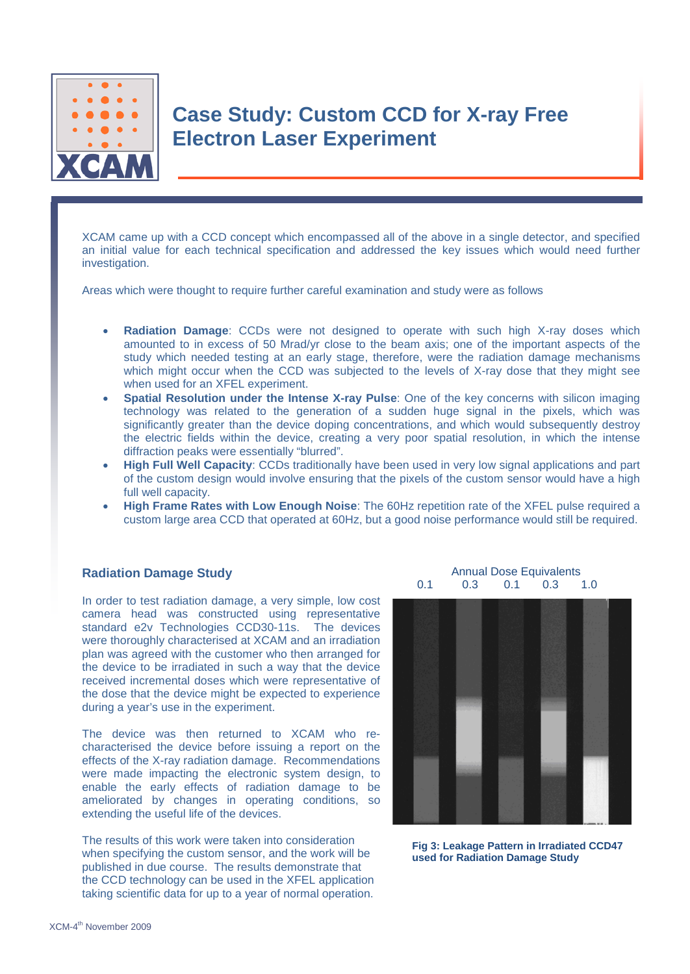

XCAM came up with a CCD concept which encompassed all of the above in a single detector, and specified an initial value for each technical specification and addressed the key issues which would need further investigation.

Areas which were thought to require further careful examination and study were as follows

- **Radiation Damage:** CCDs were not designed to operate with such high X-ray doses which amounted to in excess of 50 Mrad/yr close to the beam axis; one of the important aspects of the study which needed testing at an early stage, therefore, were the radiation damage mechanisms which might occur when the CCD was subjected to the levels of X-ray dose that they might see when used for an XFEL experiment.
- **Spatial Resolution under the Intense X-ray Pulse**: One of the key concerns with silicon imaging technology was related to the generation of a sudden huge signal in the pixels, which was significantly greater than the device doping concentrations, and which would subsequently destroy the electric fields within the device, creating a very poor spatial resolution, in which the intense diffraction peaks were essentially "blurred".
- **High Full Well Capacity**: CCDs traditionally have been used in very low signal applications and part of the custom design would involve ensuring that the pixels of the custom sensor would have a high full well capacity.
- **High Frame Rates with Low Enough Noise**: The 60Hz repetition rate of the XFEL pulse required a custom large area CCD that operated at 60Hz, but a good noise performance would still be required.

#### **Radiation Damage Study**

In order to test radiation damage, a very simple, low cost camera head was constructed using representative standard e2v Technologies CCD30-11s. The devices were thoroughly characterised at XCAM and an irradiation plan was agreed with the customer who then arranged for the device to be irradiated in such a way that the device received incremental doses which were representative of the dose that the device might be expected to experience during a year's use in the experiment.

The device was then returned to XCAM who recharacterised the device before issuing a report on the effects of the X-ray radiation damage. Recommendations were made impacting the electronic system design, to enable the early effects of radiation damage to be ameliorated by changes in operating conditions, so extending the useful life of the devices.

The results of this work were taken into consideration when specifying the custom sensor, and the work will be published in due course. The results demonstrate that the CCD technology can be used in the XFEL application taking scientific data for up to a year of normal operation.

Annual Dose Equivalents<br>0.3 0.1 0.3 1.0 0.1 0.3 0.1 0.3 1.0



**Fig 3: Leakage Pattern in Irradiated CCD47 used for Radiation Damage Study**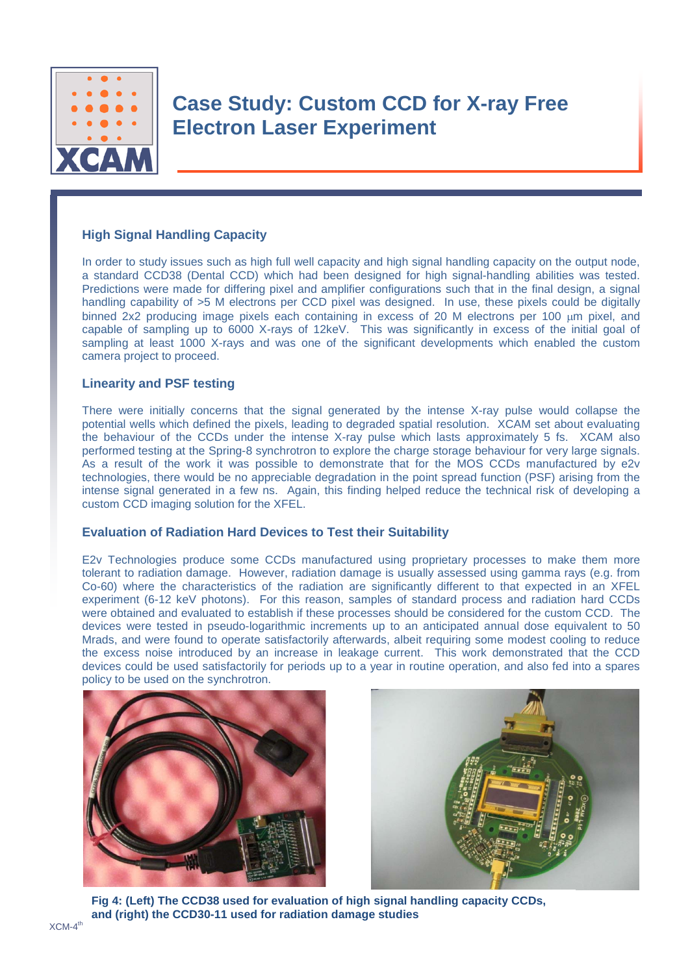

# **Case Study: Custom CCD for X-ray Free Electron Laser Experiment**

### **High Signal Handling Capacity**

In order to study issues such as high full well capacity and high signal handling capacity on the output node, a standard CCD38 (Dental CCD) which had been designed for high signal-handling abilities was tested. Predictions were made for differing pixel and amplifier configurations such that in the final design, a signal handling capability of  $>5$  M electrons per CCD pixel was designed. In use, these pixels could be digitally binned 2x2 producing image pixels each containing in excess of 20 M electrons per 100 um pixel, and capable of sampling up to 6000 X-rays of 12keV. This was significantly in excess of the initial goal of sampling at least 1000 X-rays and was one of the significant developments which enabled the custom camera project to proceed.

#### **Linearity and PSF testing**

There were initially concerns that the signal generated by the intense X-ray pulse would collapse the potential wells which defined the pixels, leading to degraded spatial resolution. XCAM set about evaluating the behaviour of the CCDs under the intense X-ray pulse which lasts approximately 5 fs. XCAM also performed testing at the Spring-8 synchrotron to explore the charge storage behaviour for very large signals. As a result of the work it was possible to demonstrate that for the MOS CCDs manufactured by e2v technologies, there would be no appreciable degradation in the point spread function (PSF) arising from the intense signal generated in a few ns. Again, this finding helped reduce the technical risk of developing a custom CCD imaging solution for the XFEL.

#### **Evaluation of Radiation Hard Devices to Test their Suitability**

E2v Technologies produce some CCDs manufactured using proprietary processes to make them more tolerant to radiation damage. However, radiation damage is usually assessed using gamma rays (e.g. from Co-60) where the characteristics of the radiation are significantly different to that expected in an XFEL experiment (6-12 keV photons). For this reason, samples of standard process and radiation hard CCDs were obtained and evaluated to establish if these processes should be considered for the custom CCD. The devices were tested in pseudo-logarithmic increments up to an anticipated annual dose equivalent to 50 Mrads, and were found to operate satisfactorily afterwards, albeit requiring some modest cooling to reduce the excess noise introduced by an increase in leakage current. This work demonstrated that the CCD devices could be used satisfactorily for periods up to a year in routine operation, and also fed into a spares policy to be used on the synchrotron.





**Fig 4: (Left) The CCD38 used for evaluation of high signal handling capacity CCDs, and (right) the CCD30-11 used for radiation damage studies**